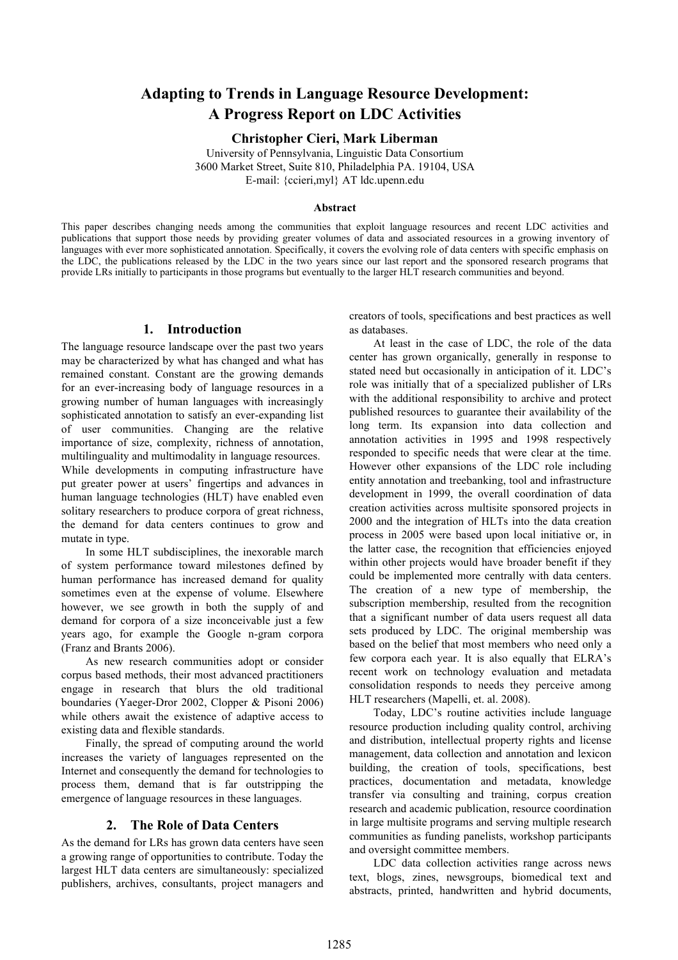# **Adapting to Trends in Language Resource Development: A Progress Report on LDC Activities**

**Christopher Cieri, Mark Liberman**

University of Pennsylvania, Linguistic Data Consortium 3600 Market Street, Suite 810, Philadelphia PA. 19104, USA E-mail: {ccieri,myl} AT ldc.upenn.edu

#### **Abstract**

This paper describes changing needs among the communities that exploit language resources and recent LDC activities and publications that support those needs by providing greater volumes of data and associated resources in a growing inventory of languages with ever more sophisticated annotation. Specifically, it covers the evolving role of data centers with specific emphasis on the LDC, the publications released by the LDC in the two years since our last report and the sponsored research programs that provide LRs initially to participants in those programs but eventually to the larger HLT research communities and beyond.

# **1. Introduction**

The language resource landscape over the past two years may be characterized by what has changed and what has remained constant. Constant are the growing demands for an ever-increasing body of language resources in a growing number of human languages with increasingly sophisticated annotation to satisfy an ever-expanding list of user communities. Changing are the relative importance of size, complexity, richness of annotation, multilinguality and multimodality in language resources. While developments in computing infrastructure have put greater power at users' fingertips and advances in human language technologies (HLT) have enabled even solitary researchers to produce corpora of great richness, the demand for data centers continues to grow and mutate in type.

In some HLT subdisciplines, the inexorable march of system performance toward milestones defined by human performance has increased demand for quality sometimes even at the expense of volume. Elsewhere however, we see growth in both the supply of and demand for corpora of a size inconceivable just a few years ago, for example the Google n-gram corpora (Franz and Brants 2006).

As new research communities adopt or consider corpus based methods, their most advanced practitioners engage in research that blurs the old traditional boundaries (Yaeger-Dror 2002, Clopper & Pisoni 2006) while others await the existence of adaptive access to existing data and flexible standards.

Finally, the spread of computing around the world increases the variety of languages represented on the Internet and consequently the demand for technologies to process them, demand that is far outstripping the emergence of language resources in these languages.

# **2. The Role of Data Centers**

As the demand for LRs has grown data centers have seen a growing range of opportunities to contribute. Today the largest HLT data centers are simultaneously: specialized publishers, archives, consultants, project managers and creators of tools, specifications and best practices as well as databases.

At least in the case of LDC, the role of the data center has grown organically, generally in response to stated need but occasionally in anticipation of it. LDC's role was initially that of a specialized publisher of LRs with the additional responsibility to archive and protect published resources to guarantee their availability of the long term. Its expansion into data collection and annotation activities in 1995 and 1998 respectively responded to specific needs that were clear at the time. However other expansions of the LDC role including entity annotation and treebanking, tool and infrastructure development in 1999, the overall coordination of data creation activities across multisite sponsored projects in 2000 and the integration of HLTs into the data creation process in 2005 were based upon local initiative or, in the latter case, the recognition that efficiencies enjoyed within other projects would have broader benefit if they could be implemented more centrally with data centers. The creation of a new type of membership, the subscription membership, resulted from the recognition that a significant number of data users request all data sets produced by LDC. The original membership was based on the belief that most members who need only a few corpora each year. It is also equally that ELRA's recent work on technology evaluation and metadata consolidation responds to needs they perceive among HLT researchers (Mapelli, et. al. 2008).

Today, LDC's routine activities include language resource production including quality control, archiving and distribution, intellectual property rights and license management, data collection and annotation and lexicon building, the creation of tools, specifications, best practices, documentation and metadata, knowledge transfer via consulting and training, corpus creation research and academic publication, resource coordination in large multisite programs and serving multiple research communities as funding panelists, workshop participants and oversight committee members.

LDC data collection activities range across news text, blogs, zines, newsgroups, biomedical text and abstracts, printed, handwritten and hybrid documents,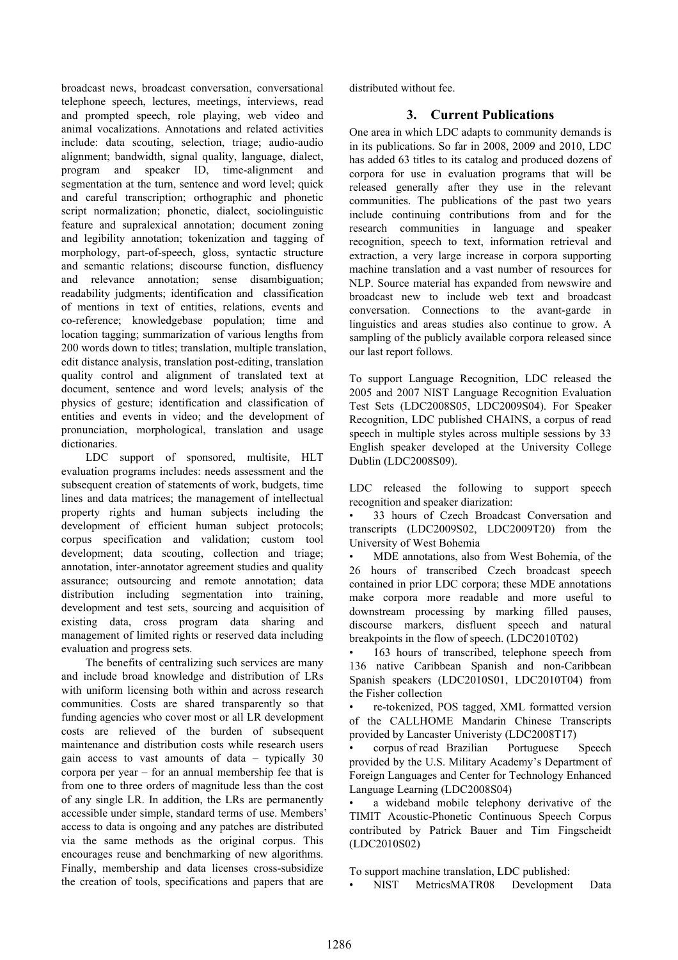broadcast news, broadcast conversation, conversational telephone speech, lectures, meetings, interviews, read and prompted speech, role playing, web video and animal vocalizations. Annotations and related activities include: data scouting, selection, triage; audio-audio alignment; bandwidth, signal quality, language, dialect, program and speaker ID, time-alignment and segmentation at the turn, sentence and word level; quick and careful transcription; orthographic and phonetic script normalization; phonetic, dialect, sociolinguistic feature and supralexical annotation; document zoning and legibility annotation; tokenization and tagging of morphology, part-of-speech, gloss, syntactic structure and semantic relations; discourse function, disfluency and relevance annotation; sense disambiguation; readability judgments; identification and classification of mentions in text of entities, relations, events and co-reference; knowledgebase population; time and location tagging; summarization of various lengths from 200 words down to titles; translation, multiple translation, edit distance analysis, translation post-editing, translation quality control and alignment of translated text at document, sentence and word levels; analysis of the physics of gesture; identification and classification of entities and events in video; and the development of pronunciation, morphological, translation and usage dictionaries.

LDC support of sponsored, multisite, HLT evaluation programs includes: needs assessment and the subsequent creation of statements of work, budgets, time lines and data matrices; the management of intellectual property rights and human subjects including the development of efficient human subject protocols; corpus specification and validation; custom tool development; data scouting, collection and triage; annotation, inter-annotator agreement studies and quality assurance; outsourcing and remote annotation; data distribution including segmentation into training, development and test sets, sourcing and acquisition of existing data, cross program data sharing and management of limited rights or reserved data including evaluation and progress sets.

The benefits of centralizing such services are many and include broad knowledge and distribution of LRs with uniform licensing both within and across research communities. Costs are shared transparently so that funding agencies who cover most or all LR development costs are relieved of the burden of subsequent maintenance and distribution costs while research users gain access to vast amounts of data – typically 30 corpora per year – for an annual membership fee that is from one to three orders of magnitude less than the cost of any single LR. In addition, the LRs are permanently accessible under simple, standard terms of use. Members' access to data is ongoing and any patches are distributed via the same methods as the original corpus. This encourages reuse and benchmarking of new algorithms. Finally, membership and data licenses cross-subsidize the creation of tools, specifications and papers that are

distributed without fee.

# **3. Current Publications**

One area in which LDC adapts to community demands is in its publications. So far in 2008, 2009 and 2010, LDC has added 63 titles to its catalog and produced dozens of corpora for use in evaluation programs that will be released generally after they use in the relevant communities. The publications of the past two years include continuing contributions from and for the research communities in language and speaker recognition, speech to text, information retrieval and extraction, a very large increase in corpora supporting machine translation and a vast number of resources for NLP. Source material has expanded from newswire and broadcast new to include web text and broadcast conversation. Connections to the avant-garde in linguistics and areas studies also continue to grow. A sampling of the publicly available corpora released since our last report follows.

To support Language Recognition, LDC released the 2005 and 2007 NIST Language Recognition Evaluation Test Sets (LDC2008S05, LDC2009S04). For Speaker Recognition, LDC published CHAINS, a corpus of read speech in multiple styles across multiple sessions by 33 English speaker developed at the University College Dublin (LDC2008S09).

LDC released the following to support speech recognition and speaker diarization:

• 33 hours of Czech Broadcast Conversation and transcripts (LDC2009S02, LDC2009T20) from the University of West Bohemia

• MDE annotations, also from West Bohemia, of the 26 hours of transcribed Czech broadcast speech contained in prior LDC corpora; these MDE annotations make corpora more readable and more useful to downstream processing by marking filled pauses, discourse markers, disfluent speech and natural breakpoints in the flow of speech. (LDC2010T02)

163 hours of transcribed, telephone speech from 136 native Caribbean Spanish and non-Caribbean Spanish speakers (LDC2010S01, LDC2010T04) from the Fisher collection

• re-tokenized, POS tagged, XML formatted version of the CALLHOME Mandarin Chinese Transcripts provided by Lancaster Univeristy (LDC2008T17)

• corpus of read Brazilian Portuguese Speech provided by the U.S. Military Academy's Department of Foreign Languages and Center for Technology Enhanced Language Learning (LDC2008S04)

a wideband mobile telephony derivative of the TIMIT Acoustic-Phonetic Continuous Speech Corpus contributed by Patrick Bauer and Tim Fingscheidt (LDC2010S02)

To support machine translation, LDC published:

• NIST MetricsMATR08 Development Data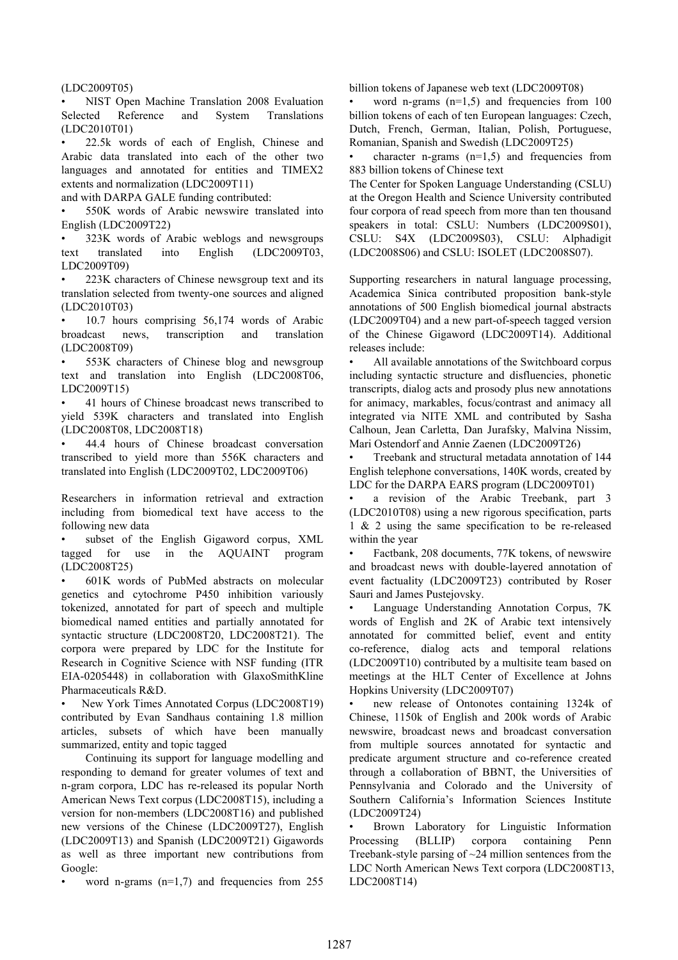(LDC2009T05)

• NIST Open Machine Translation 2008 Evaluation Selected Reference and System Translations (LDC2010T01)

• 22.5k words of each of English, Chinese and Arabic data translated into each of the other two languages and annotated for entities and TIMEX2 extents and normalization (LDC2009T11)

and with DARPA GALE funding contributed:

• 550K words of Arabic newswire translated into English (LDC2009T22)

• 323K words of Arabic weblogs and newsgroups text translated into English (LDC2009T03, LDC2009T09)

223K characters of Chinese newsgroup text and its translation selected from twenty-one sources and aligned (LDC2010T03)

• 10.7 hours comprising 56,174 words of Arabic broadcast news, transcription and translation (LDC2008T09)

553K characters of Chinese blog and newsgroup text and translation into English (LDC2008T06, LDC2009T15)

• 41 hours of Chinese broadcast news transcribed to yield 539K characters and translated into English (LDC2008T08, LDC2008T18)

• 44.4 hours of Chinese broadcast conversation transcribed to yield more than 556K characters and translated into English (LDC2009T02, LDC2009T06)

Researchers in information retrieval and extraction including from biomedical text have access to the following new data

subset of the English Gigaword corpus, XML tagged for use in the AQUAINT program (LDC2008T25)

• 601K words of PubMed abstracts on molecular genetics and cytochrome P450 inhibition variously tokenized, annotated for part of speech and multiple biomedical named entities and partially annotated for syntactic structure (LDC2008T20, LDC2008T21). The corpora were prepared by LDC for the Institute for Research in Cognitive Science with NSF funding (ITR EIA-0205448) in collaboration with GlaxoSmithKline Pharmaceuticals R&D.

• New York Times Annotated Corpus (LDC2008T19) contributed by Evan Sandhaus containing 1.8 million articles, subsets of which have been manually summarized, entity and topic tagged

Continuing its support for language modelling and responding to demand for greater volumes of text and n-gram corpora, LDC has re-released its popular North American News Text corpus (LDC2008T15), including a version for non-members (LDC2008T16) and published new versions of the Chinese (LDC2009T27), English (LDC2009T13) and Spanish (LDC2009T21) Gigawords as well as three important new contributions from Google:

word n-grams  $(n=1,7)$  and frequencies from 255

billion tokens of Japanese web text (LDC2009T08)

word n-grams  $(n=1,5)$  and frequencies from 100 billion tokens of each of ten European languages: Czech, Dutch, French, German, Italian, Polish, Portuguese, Romanian, Spanish and Swedish (LDC2009T25)

character n-grams  $(n=1,5)$  and frequencies from 883 billion tokens of Chinese text

The Center for Spoken Language Understanding (CSLU) at the Oregon Health and Science University contributed four corpora of read speech from more than ten thousand speakers in total: CSLU: Numbers (LDC2009S01), CSLU: S4X (LDC2009S03), CSLU: Alphadigit (LDC2008S06) and CSLU: ISOLET (LDC2008S07).

Supporting researchers in natural language processing, Academica Sinica contributed proposition bank-style annotations of 500 English biomedical journal abstracts (LDC2009T04) and a new part-of-speech tagged version of the Chinese Gigaword (LDC2009T14). Additional releases include:

All available annotations of the Switchboard corpus including syntactic structure and disfluencies, phonetic transcripts, dialog acts and prosody plus new annotations for animacy, markables, focus/contrast and animacy all integrated via NITE XML and contributed by Sasha Calhoun, Jean Carletta, Dan Jurafsky, Malvina Nissim, Mari Ostendorf and Annie Zaenen (LDC2009T26)

• Treebank and structural metadata annotation of 144 English telephone conversations, 140K words, created by LDC for the DARPA EARS program (LDC2009T01)

a revision of the Arabic Treebank, part 3 (LDC2010T08) using a new rigorous specification, parts 1 & 2 using the same specification to be re-released within the year

• Factbank, 208 documents, 77K tokens, of newswire and broadcast news with double-layered annotation of event factuality (LDC2009T23) contributed by Roser Sauri and James Pustejovsky.

• Language Understanding Annotation Corpus, 7K words of English and 2K of Arabic text intensively annotated for committed belief, event and entity co-reference, dialog acts and temporal relations (LDC2009T10) contributed by a multisite team based on meetings at the HLT Center of Excellence at Johns Hopkins University (LDC2009T07)

• new release of Ontonotes containing 1324k of Chinese, 1150k of English and 200k words of Arabic newswire, broadcast news and broadcast conversation from multiple sources annotated for syntactic and predicate argument structure and co-reference created through a collaboration of BBNT, the Universities of Pennsylvania and Colorado and the University of Southern California's Information Sciences Institute (LDC2009T24)

• Brown Laboratory for Linguistic Information Processing (BLLIP) corpora containing Penn Treebank-style parsing of  $\sim$ 24 million sentences from the LDC North American News Text corpora (LDC2008T13, LDC2008T14)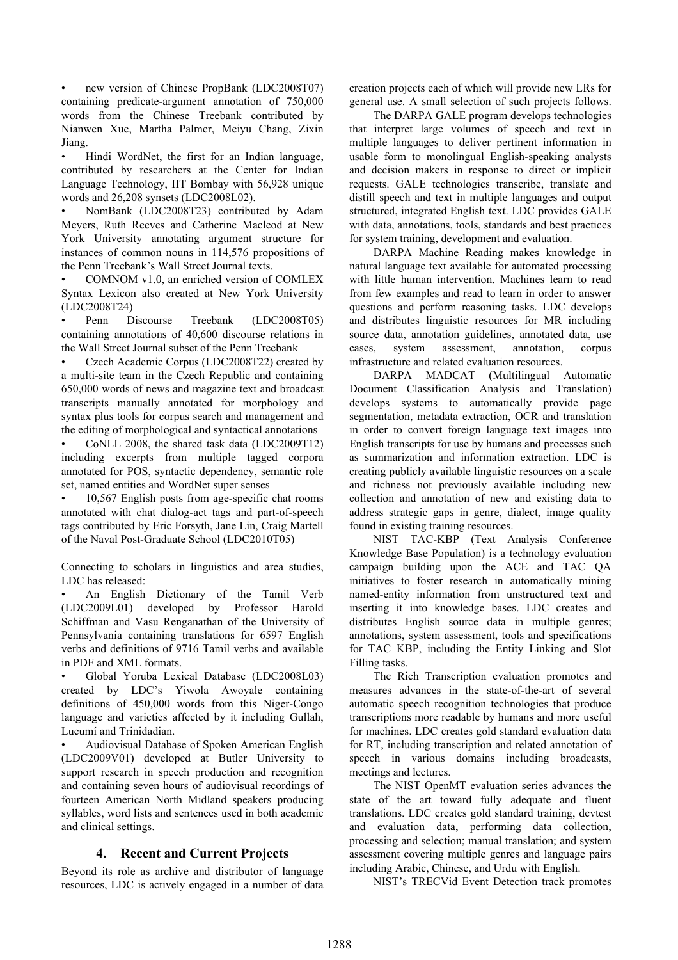• new version of Chinese PropBank (LDC2008T07) containing predicate-argument annotation of 750,000 words from the Chinese Treebank contributed by Nianwen Xue, Martha Palmer, Meiyu Chang, Zixin Jiang.

• Hindi WordNet, the first for an Indian language, contributed by researchers at the Center for Indian Language Technology, IIT Bombay with 56,928 unique words and 26,208 synsets (LDC2008L02).

• NomBank (LDC2008T23) contributed by Adam Meyers, Ruth Reeves and Catherine Macleod at New York University annotating argument structure for instances of common nouns in 114,576 propositions of the Penn Treebank's Wall Street Journal texts.

• COMNOM v1.0, an enriched version of COMLEX Syntax Lexicon also created at New York University (LDC2008T24)

• Penn Discourse Treebank (LDC2008T05) containing annotations of 40,600 discourse relations in the Wall Street Journal subset of the Penn Treebank

• Czech Academic Corpus (LDC2008T22) created by a multi-site team in the Czech Republic and containing 650,000 words of news and magazine text and broadcast transcripts manually annotated for morphology and syntax plus tools for corpus search and management and the editing of morphological and syntactical annotations

• CoNLL 2008, the shared task data (LDC2009T12) including excerpts from multiple tagged corpora annotated for POS, syntactic dependency, semantic role set, named entities and WordNet super senses

• 10,567 English posts from age-specific chat rooms annotated with chat dialog-act tags and part-of-speech tags contributed by Eric Forsyth, Jane Lin, Craig Martell of the Naval Post-Graduate School (LDC2010T05)

Connecting to scholars in linguistics and area studies, LDC has released:

• An English Dictionary of the Tamil Verb (LDC2009L01) developed by Professor Harold Schiffman and Vasu Renganathan of the University of Pennsylvania containing translations for 6597 English verbs and definitions of 9716 Tamil verbs and available in PDF and XML formats.

• Global Yoruba Lexical Database (LDC2008L03) created by LDC's Yiwola Awoyale containing definitions of 450,000 words from this Niger-Congo language and varieties affected by it including Gullah, Lucumí and Trinidadian.

• Audiovisual Database of Spoken American English (LDC2009V01) developed at Butler University to support research in speech production and recognition and containing seven hours of audiovisual recordings of fourteen American North Midland speakers producing syllables, word lists and sentences used in both academic and clinical settings.

# **4. Recent and Current Projects**

Beyond its role as archive and distributor of language resources, LDC is actively engaged in a number of data creation projects each of which will provide new LRs for general use. A small selection of such projects follows.

The DARPA GALE program develops technologies that interpret large volumes of speech and text in multiple languages to deliver pertinent information in usable form to monolingual English-speaking analysts and decision makers in response to direct or implicit requests. GALE technologies transcribe, translate and distill speech and text in multiple languages and output structured, integrated English text. LDC provides GALE with data, annotations, tools, standards and best practices for system training, development and evaluation.

DARPA Machine Reading makes knowledge in natural language text available for automated processing with little human intervention. Machines learn to read from few examples and read to learn in order to answer questions and perform reasoning tasks. LDC develops and distributes linguistic resources for MR including source data, annotation guidelines, annotated data, use cases, system assessment, annotation, corpus infrastructure and related evaluation resources.

DARPA MADCAT (Multilingual Automatic Document Classification Analysis and Translation) develops systems to automatically provide page segmentation, metadata extraction, OCR and translation in order to convert foreign language text images into English transcripts for use by humans and processes such as summarization and information extraction. LDC is creating publicly available linguistic resources on a scale and richness not previously available including new collection and annotation of new and existing data to address strategic gaps in genre, dialect, image quality found in existing training resources.

NIST TAC-KBP (Text Analysis Conference Knowledge Base Population) is a technology evaluation campaign building upon the ACE and TAC QA initiatives to foster research in automatically mining named-entity information from unstructured text and inserting it into knowledge bases. LDC creates and distributes English source data in multiple genres; annotations, system assessment, tools and specifications for TAC KBP, including the Entity Linking and Slot Filling tasks.

The Rich Transcription evaluation promotes and measures advances in the state-of-the-art of several automatic speech recognition technologies that produce transcriptions more readable by humans and more useful for machines. LDC creates gold standard evaluation data for RT, including transcription and related annotation of speech in various domains including broadcasts, meetings and lectures.

The NIST OpenMT evaluation series advances the state of the art toward fully adequate and fluent translations. LDC creates gold standard training, devtest and evaluation data, performing data collection, processing and selection; manual translation; and system assessment covering multiple genres and language pairs including Arabic, Chinese, and Urdu with English.

NIST's TRECVid Event Detection track promotes